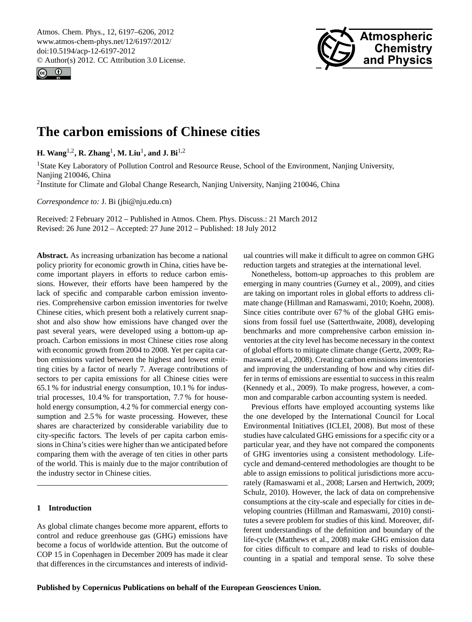<span id="page-0-0"></span>Atmos. Chem. Phys., 12, 6197–6206, 2012 www.atmos-chem-phys.net/12/6197/2012/ doi:10.5194/acp-12-6197-2012 © Author(s) 2012. CC Attribution 3.0 License.





# **The carbon emissions of Chinese cities**

**H.** Wang<sup>1,2</sup>, **R.** Zhang<sup>1</sup>, M. Liu<sup>1</sup>, and J. Bi<sup>1,2</sup>

<sup>1</sup>State Key Laboratory of Pollution Control and Resource Reuse, School of the Environment, Nanjing University, Nanjing 210046, China

<sup>2</sup>Institute for Climate and Global Change Research, Nanjing University, Nanjing 210046, China

*Correspondence to:* J. Bi (jbi@nju.edu.cn)

Received: 2 February 2012 – Published in Atmos. Chem. Phys. Discuss.: 21 March 2012 Revised: 26 June 2012 – Accepted: 27 June 2012 – Published: 18 July 2012

**Abstract.** As increasing urbanization has become a national policy priority for economic growth in China, cities have become important players in efforts to reduce carbon emissions. However, their efforts have been hampered by the lack of specific and comparable carbon emission inventories. Comprehensive carbon emission inventories for twelve Chinese cities, which present both a relatively current snapshot and also show how emissions have changed over the past several years, were developed using a bottom-up approach. Carbon emissions in most Chinese cities rose along with economic growth from 2004 to 2008. Yet per capita carbon emissions varied between the highest and lowest emitting cities by a factor of nearly 7. Average contributions of sectors to per capita emissions for all Chinese cities were 65.1 % for industrial energy consumption, 10.1 % for industrial processes, 10.4 % for transportation, 7.7 % for household energy consumption, 4.2 % for commercial energy consumption and 2.5 % for waste processing. However, these shares are characterized by considerable variability due to city-specific factors. The levels of per capita carbon emissions in China's cities were higher than we anticipated before comparing them with the average of ten cities in other parts of the world. This is mainly due to the major contribution of the industry sector in Chinese cities.

# **1 Introduction**

As global climate changes become more apparent, efforts to control and reduce greenhouse gas (GHG) emissions have become a focus of worldwide attention. But the outcome of COP 15 in Copenhagen in December 2009 has made it clear that differences in the circumstances and interests of individ-

ual countries will make it difficult to agree on common GHG reduction targets and strategies at the international level.

Nonetheless, bottom-up approaches to this problem are emerging in many countries (Gurney et al., 2009), and cities are taking on important roles in global efforts to address climate change (Hillman and Ramaswami, 2010; Koehn, 2008). Since cities contribute over 67 % of the global GHG emissions from fossil fuel use (Satterthwaite, 2008), developing benchmarks and more comprehensive carbon emission inventories at the city level has become necessary in the context of global efforts to mitigate climate change (Gertz, 2009; Ramaswami et al., 2008). Creating carbon emissions inventories and improving the understanding of how and why cities differ in terms of emissions are essential to success in this realm (Kennedy et al., 2009). To make progress, however, a common and comparable carbon accounting system is needed.

Previous efforts have employed accounting systems like the one developed by the International Council for Local Environmental Initiatives (ICLEI, 2008). But most of these studies have calculated GHG emissions for a specific city or a particular year, and they have not compared the components of GHG inventories using a consistent methodology. Lifecycle and demand-centered methodologies are thought to be able to assign emissions to political jurisdictions more accurately (Ramaswami et al., 2008; Larsen and Hertwich, 2009; Schulz, 2010). However, the lack of data on comprehensive consumptions at the city-scale and especially for cities in developing countries (Hillman and Ramaswami, 2010) constitutes a severe problem for studies of this kind. Moreover, different understandings of the definition and boundary of the life-cycle (Matthews et al., 2008) make GHG emission data for cities difficult to compare and lead to risks of doublecounting in a spatial and temporal sense. To solve these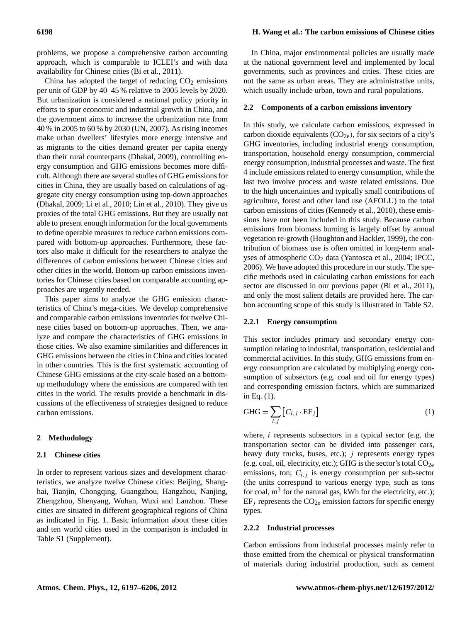# **6198 H. Wang et al.: The carbon emissions of Chinese cities**

problems, we propose a comprehensive carbon accounting approach, which is comparable to ICLEI's and with data availability for Chinese cities (Bi et al., 2011).

China has adopted the target of reducing  $CO<sub>2</sub>$  emissions per unit of GDP by 40–45 % relative to 2005 levels by 2020. But urbanization is considered a national policy priority in efforts to spur economic and industrial growth in China, and the government aims to increase the urbanization rate from 40 % in 2005 to 60 % by 2030 (UN, 2007). As rising incomes make urban dwellers' lifestyles more energy intensive and as migrants to the cities demand greater per capita energy than their rural counterparts (Dhakal, 2009), controlling energy consumption and GHG emissions becomes more difficult. Although there are several studies of GHG emissions for cities in China, they are usually based on calculations of aggregate city energy consumption using top-down approaches (Dhakal, 2009; Li et al., 2010; Lin et al., 2010). They give us proxies of the total GHG emissions. But they are usually not able to present enough information for the local governments to define operable measures to reduce carbon emissions compared with bottom-up approaches. Furthermore, these factors also make it difficult for the researchers to analyze the differences of carbon emissions between Chinese cities and other cities in the world. Bottom-up carbon emissions inventories for Chinese cities based on comparable accounting approaches are urgently needed.

This paper aims to analyze the GHG emission characteristics of China's mega-cities. We develop comprehensive and comparable carbon emissions inventories for twelve Chinese cities based on bottom-up approaches. Then, we analyze and compare the characteristics of GHG emissions in those cities. We also examine similarities and differences in GHG emissions between the cities in China and cities located in other countries. This is the first systematic accounting of Chinese GHG emissions at the city-scale based on a bottomup methodology where the emissions are compared with ten cities in the world. The results provide a benchmark in discussions of the effectiveness of strategies designed to reduce carbon emissions.

#### **2 Methodology**

#### **2.1 Chinese cities**

In order to represent various sizes and development characteristics, we analyze twelve Chinese cities: Beijing, Shanghai, Tianjin, Chongqing, Guangzhou, Hangzhou, Nanjing, Zhengzhou, Shenyang, Wuhan, Wuxi and Lanzhou. These cities are situated in different geographical regions of China as indicated in Fig. 1. Basic information about these cities and ten world cities used in the comparison is included in Table S1 (Supplement).

In China, major environmental policies are usually made at the national government level and implemented by local governments, such as provinces and cities. These cities are not the same as urban areas. They are administrative units, which usually include urban, town and rural populations.

#### **2.2 Components of a carbon emissions inventory**

In this study, we calculate carbon emissions, expressed in carbon dioxide equivalents  $(CO_{2e})$ , for six sectors of a city's GHG inventories, including industrial energy consumption, transportation, household energy consumption, commercial energy consumption, industrial processes and waste. The first 4 include emissions related to energy consumption, while the last two involve process and waste related emissions. Due to the high uncertainties and typically small contributions of agriculture, forest and other land use (AFOLU) to the total carbon emissions of cities (Kennedy et al., 2010), these emissions have not been included in this study. Because carbon emissions from biomass burning is largely offset by annual vegetation re-growth (Houghton and Hackler, 1999), the contribution of biomass use is often omitted in long-term analyses of atmospheric CO<sub>2</sub> data (Yantosca et al., 2004; IPCC, 2006). We have adopted this procedure in our study. The specific methods used in calculating carbon emissions for each sector are discussed in our previous paper (Bi et al., 2011), and only the most salient details are provided here. The carbon accounting scope of this study is illustrated in Table S2.

#### **2.2.1 Energy consumption**

This sector includes primary and secondary energy consumption relating to industrial, transportation, residential and commercial activities. In this study, GHG emissions from energy consumption are calculated by multiplying energy consumption of subsectors (e.g. coal and oil for energy types) and corresponding emission factors, which are summarized in Eq. (1).

$$
GHG = \sum_{i,j} [C_{i,j} \cdot EF_j]
$$
 (1)

where,  $i$  represents subsectors in a typical sector (e.g. the transportation sector can be divided into passenger cars, heavy duty trucks, buses, etc.);  $j$  represents energy types (e.g. coal, oil, electricity, etc.); GHG is the sector's total  $CO<sub>2e</sub>$ emissions, ton;  $C_{i,j}$  is energy consumption per sub-sector (the units correspond to various energy type, such as tons for coal,  $m<sup>3</sup>$  for the natural gas, kWh for the electricity, etc.);  $EF_i$  represents the  $CO_{2e}$  emission factors for specific energy types.

# **2.2.2 Industrial processes**

Carbon emissions from industrial processes mainly refer to those emitted from the chemical or physical transformation of materials during industrial production, such as cement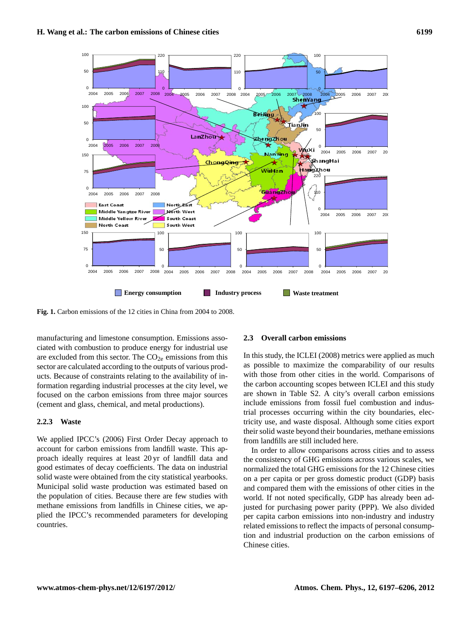

**Fig. 1.** Carbon emissions of the 12 cities in China from 2004 to 2008.

manateuring and innestence consumption. Emissions associated with combustion to produce energy for industrial use manufacturing and limestone consumption. Emissions assoare excluded from this sector. The  $CO<sub>2e</sub>$  emissions from this sector are calculated according to the outputs of various products. Because of constraints relating to the availability of information regarding industrial processes at the city level, we focused on the carbon emissions from three major sources (cement and glass, chemical, and metal productions).

# **2.2.3 Waste**

We applied IPCC's (2006) First Order Decay approach to account for carbon emissions from landfill waste. This approach ideally requires at least 20 yr of landfill data and good estimates of decay coefficients. The data on industrial solid waste were obtained from the city statistical yearbooks. Municipal solid waste production was estimated based on the population of cities. Because there are few studies with methane emissions from landfills in Chinese cities, we applied the IPCC's recommended parameters for developing countries.

#### **2.3 Overall carbon emissions**

In this study, the ICLEI (2008) metrics were applied as much as possible to maximize the comparability of our results with those from other cities in the world. Comparisons of the carbon accounting scopes between ICLEI and this study are shown in Table S2. A city's overall carbon emissions include emissions from fossil fuel combustion and industrial processes occurring within the city boundaries, electricity use, and waste disposal. Although some cities export their solid waste beyond their boundaries, methane emissions from landfills are still included here.

In order to allow comparisons across cities and to assess the consistency of GHG emissions across various scales, we normalized the total GHG emissions for the 12 Chinese cities on a per capita or per gross domestic product (GDP) basis and compared them with the emissions of other cities in the world. If not noted specifically, GDP has already been adjusted for purchasing power parity (PPP). We also divided per capita carbon emissions into non-industry and industry related emissions to reflect the impacts of personal consumption and industrial production on the carbon emissions of Chinese cities.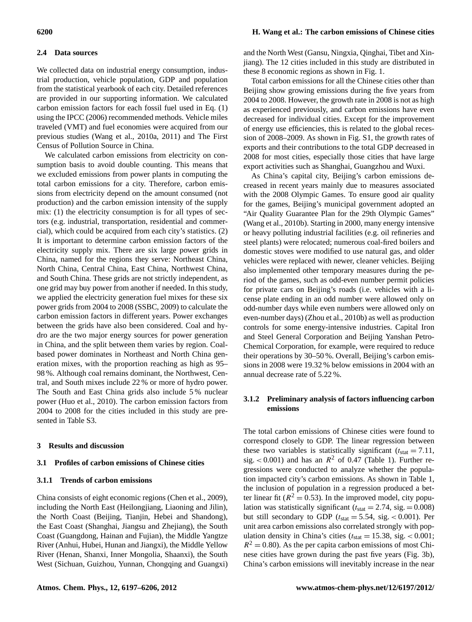#### **2.4 Data sources**

We collected data on industrial energy consumption, industrial production, vehicle population, GDP and population from the statistical yearbook of each city. Detailed references are provided in our supporting information. We calculated carbon emission factors for each fossil fuel used in Eq. (1) using the IPCC (2006) recommended methods. Vehicle miles traveled (VMT) and fuel economies were acquired from our previous studies (Wang et al., 2010a, 2011) and The First Census of Pollution Source in China.

We calculated carbon emissions from electricity on consumption basis to avoid double counting. This means that we excluded emissions from power plants in computing the total carbon emissions for a city. Therefore, carbon emissions from electricity depend on the amount consumed (not production) and the carbon emission intensity of the supply mix: (1) the electricity consumption is for all types of sectors (e.g. industrial, transportation, residential and commercial), which could be acquired from each city's statistics. (2) It is important to determine carbon emission factors of the electricity supply mix. There are six large power grids in China, named for the regions they serve: Northeast China, North China, Central China, East China, Northwest China, and South China. These grids are not strictly independent, as one grid may buy power from another if needed. In this study, we applied the electricity generation fuel mixes for these six power grids from 2004 to 2008 (SSBC, 2009) to calculate the carbon emission factors in different years. Power exchanges between the grids have also been considered. Coal and hydro are the two major energy sources for power generation in China, and the split between them varies by region. Coalbased power dominates in Northeast and North China generation mixes, with the proportion reaching as high as 95– 98 %. Although coal remains dominant, the Northwest, Central, and South mixes include 22 % or more of hydro power. The South and East China grids also include 5 % nuclear power (Huo et al., 2010). The carbon emission factors from 2004 to 2008 for the cities included in this study are presented in Table S3.

#### **3 Results and discussion**

# **3.1 Profiles of carbon emissions of Chinese cities**

#### **3.1.1 Trends of carbon emissions**

China consists of eight economic regions (Chen et al., 2009), including the North East (Heilongjiang, Liaoning and Jilin), the North Coast (Beijing, Tianjin, Hebei and Shandong), the East Coast (Shanghai, Jiangsu and Zhejiang), the South Coast (Guangdong, Hainan and Fujian), the Middle Yangtze River (Anhui, Hubei, Hunan and Jiangxi), the Middle Yellow River (Henan, Shanxi, Inner Mongolia, Shaanxi), the South West (Sichuan, Guizhou, Yunnan, Chongqing and Guangxi)

# **6200 H. Wang et al.: The carbon emissions of Chinese cities**

and the North West (Gansu, Ningxia, Qinghai, Tibet and Xinjiang). The 12 cities included in this study are distributed in these 8 economic regions as shown in Fig. 1.

Total carbon emissions for all the Chinese cities other than Beijing show growing emissions during the five years from 2004 to 2008. However, the growth rate in 2008 is not as high as experienced previously, and carbon emissions have even decreased for individual cities. Except for the improvement of energy use efficiencies, this is related to the global recession of 2008–2009. As shown in Fig. S1, the growth rates of exports and their contributions to the total GDP decreased in 2008 for most cities, especially those cities that have large export activities such as Shanghai, Guangzhou and Wuxi.

As China's capital city, Beijing's carbon emissions decreased in recent years mainly due to measures associated with the 2008 Olympic Games. To ensure good air quality for the games, Beijing's municipal government adopted an "Air Quality Guarantee Plan for the 29th Olympic Games" (Wang et al., 2010b). Starting in 2000, many energy intensive or heavy polluting industrial facilities (e.g. oil refineries and steel plants) were relocated; numerous coal-fired boilers and domestic stoves were modified to use natural gas, and older vehicles were replaced with newer, cleaner vehicles. Beijing also implemented other temporary measures during the period of the games, such as odd-even number permit policies for private cars on Beijing's roads (i.e. vehicles with a license plate ending in an odd number were allowed only on odd-number days while even numbers were allowed only on even-number days) (Zhou et al., 2010b) as well as production controls for some energy-intensive industries. Capital Iron and Steel General Corporation and Beijing Yanshan Petro-Chemical Corporation, for example, were required to reduce their operations by 30–50 %. Overall, Beijing's carbon emissions in 2008 were 19.32 % below emissions in 2004 with an annual decrease rate of 5.22 %.

# **3.1.2 Preliminary analysis of factors influencing carbon emissions**

The total carbon emissions of Chinese cities were found to correspond closely to GDP. The linear regression between these two variables is statistically significant  $(t<sub>stat</sub> = 7.11,$ sig.  $< 0.001$ ) and has an  $R^2$  of 0.47 (Table 1). Further regressions were conducted to analyze whether the population impacted city's carbon emissions. As shown in Table 1, the inclusion of population in a regression produced a better linear fit ( $R^2 = 0.53$ ). In the improved model, city population was statistically significant ( $t_{stat} = 2.74$ , sig. = 0.008) but still secondary to GDP ( $t_{stat} = 5.54$ , sig. < 0.001). Per unit area carbon emissions also correlated strongly with population density in China's cities ( $t_{\text{stat}} = 15.38$ , sig. < 0.001;  $R<sup>2</sup> = 0.80$ ). As the per capita carbon emissions of most Chinese cities have grown during the past five years (Fig. 3b), China's carbon emissions will inevitably increase in the near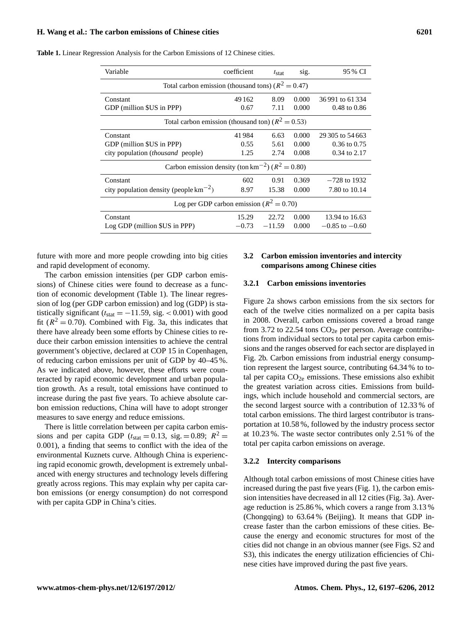| Variable                                                         | coefficient | $t_{\text{stat}}$ | sig.  | 95 % CI                 |  |  |  |  |  |
|------------------------------------------------------------------|-------------|-------------------|-------|-------------------------|--|--|--|--|--|
| Total carbon emission (thousand tons) ( $R^2 = 0.47$ )           |             |                   |       |                         |  |  |  |  |  |
| Constant                                                         | 49 1 62     | 8.09              | 0.000 | 36991 to 61334          |  |  |  |  |  |
| GDP (million \$US in PPP)                                        | 0.67        | 7.11              | 0.000 | $0.48 \text{ to } 0.86$ |  |  |  |  |  |
| Total carbon emission (thousand ton) ( $R^2 = 0.53$ )            |             |                   |       |                         |  |  |  |  |  |
| Constant                                                         | 41984       | 6.63              | 0.000 | 29 305 to 54 663        |  |  |  |  |  |
| GDP (million \$US in PPP)                                        | 0.55        | 5.61              | 0.000 | $0.36$ to $0.75$        |  |  |  |  |  |
| city population <i>(thousand</i> people)                         | 1.25        | 2.74              | 0.008 | 0.34 to 2.17            |  |  |  |  |  |
| Carbon emission density (ton km <sup>-2</sup> ) ( $R^2 = 0.80$ ) |             |                   |       |                         |  |  |  |  |  |
| Constant                                                         | 602         | 0.91              | 0.369 | $-728$ to 1932          |  |  |  |  |  |
| city population density (people $\text{km}^{-2}$ )               | 8.97        | 15.38             | 0.000 | 7.80 to 10.14           |  |  |  |  |  |
| Log per GDP carbon emission ( $R^2 = 0.70$ )                     |             |                   |       |                         |  |  |  |  |  |
| Constant                                                         | 15.29       | 22.72             | 0.000 | 13.94 to 16.63          |  |  |  |  |  |
| Log GDP (million \$US in PPP)                                    | $-0.73$     | $-11.59$          | 0.000 | $-0.85$ to $-0.60$      |  |  |  |  |  |

**Table 1.** Linear Regression Analysis for the Carbon Emissions of 12 Chinese cities.

future with more and more people crowding into big cities and rapid development of economy.

The carbon emission intensities (per GDP carbon emissions) of Chinese cities were found to decrease as a function of economic development (Table 1). The linear regression of log (per GDP carbon emission) and log (GDP) is statistically significant ( $t_{stat} = -11.59$ , sig. < 0.001) with good fit ( $R^2 = 0.70$ ). Combined with Fig. 3a, this indicates that there have already been some efforts by Chinese cities to reduce their carbon emission intensities to achieve the central government's objective, declared at COP 15 in Copenhagen, of reducing carbon emissions per unit of GDP by 40–45 %. As we indicated above, however, these efforts were counteracted by rapid economic development and urban population growth. As a result, total emissions have continued to increase during the past five years. To achieve absolute carbon emission reductions, China will have to adopt stronger measures to save energy and reduce emissions.

There is little correlation between per capita carbon emissions and per capita GDP ( $t_{stat} = 0.13$ , sig. = 0.89;  $R^2$  = 0.001), a finding that seems to conflict with the idea of the environmental Kuznets curve. Although China is experiencing rapid economic growth, development is extremely unbalanced with energy structures and technology levels differing greatly across regions. This may explain why per capita carbon emissions (or energy consumption) do not correspond with per capita GDP in China's cities.

#### **3.2 Carbon emission inventories and intercity comparisons among Chinese cities**

#### **3.2.1 Carbon emissions inventories**

Figure 2a shows carbon emissions from the six sectors for each of the twelve cities normalized on a per capita basis in 2008. Overall, carbon emissions covered a broad range from 3.72 to 22.54 tons  $CO<sub>2e</sub>$  per person. Average contributions from individual sectors to total per capita carbon emissions and the ranges observed for each sector are displayed in Fig. 2b. Carbon emissions from industrial energy consumption represent the largest source, contributing 64.34 % to total per capita  $CO<sub>2e</sub>$  emissions. These emissions also exhibit the greatest variation across cities. Emissions from buildings, which include household and commercial sectors, are the second largest source with a contribution of 12.33 % of total carbon emissions. The third largest contributor is transportation at 10.58 %, followed by the industry process sector at 10.23 %. The waste sector contributes only 2.51 % of the total per capita carbon emissions on average.

#### **3.2.2 Intercity comparisons**

Although total carbon emissions of most Chinese cities have increased during the past five years (Fig. 1), the carbon emission intensities have decreased in all 12 cities (Fig. 3a). Average reduction is 25.86 %, which covers a range from 3.13 % (Chongqing) to 63.64 % (Beijing). It means that GDP increase faster than the carbon emissions of these cities. Because the energy and economic structures for most of the cities did not change in an obvious manner (see Figs. S2 and S3), this indicates the energy utilization efficiencies of Chinese cities have improved during the past five years.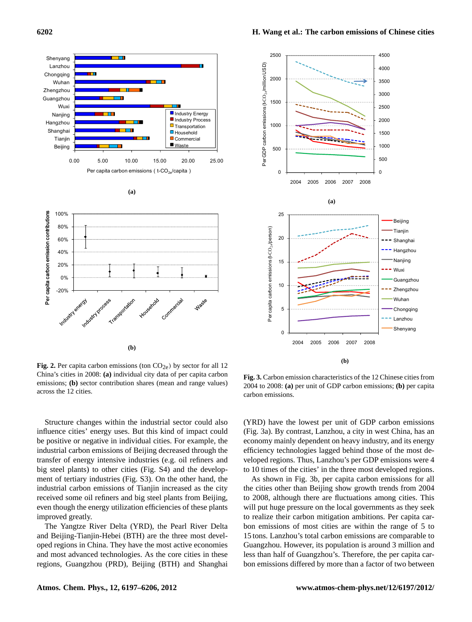



**Fig. 2.** Per capita carbon emissions (ton  $CO<sub>2e</sub>$ ) by sector for all 12 emissions; **(b)** sector contribution shares (mean and range values)  $20^{\circ}$ China's cities in 2008: **(a)** individual city data of per capita carbon across the 12 cities.

Structure changes within the industrial sector could also influence cities' energy uses. But this kind of impact could be positive or negative in individual cities. For example, the industrial carbon emissions of Beijing decreased through the transfer of energy intensive industries (e.g. oil refiners and big steel plants) to other cities (Fig. S4) and the development of tertiary industries (Fig. S3). On the other hand, the industrial carbon emissions of Tianjin increased as the city received some oil refiners and big steel plants from Beijing, even though the energy utilization efficiencies of these plants improved greatly.

The Yangtze River Delta (YRD), the Pearl River Delta and Beijing-Tianjin-Hebei (BTH) are the three most developed regions in China. They have the most active economies and most advanced technologies. As the core cities in these regions, Guangzhou (PRD), Beijing (BTH) and Shanghai

485 **Fig. 3. Carbon emission characteristics of the 12 Chinese cities from 2004 to 2008: (a) Per GDP**  2004 to 2008: **(a)** per unit of GDP carbon emissions; **(b)** per capita **Fig. 3.** Carbon emission characteristics of the 12 Chinese cities from carbon emissions.

(YRD) have the lowest per unit of GDP carbon emissions (Fig. 3a). By contrast, Lanzhou, a city in west China, has an economy mainly dependent on heavy industry, and its energy efficiency technologies lagged behind those of the most developed regions. Thus, Lanzhou's per GDP emissions were 4 to 10 times of the cities' in the three most developed regions.

As shown in Fig. 3b, per capita carbon emissions for all the cities other than Beijing show growth trends from 2004 to 2008, although there are fluctuations among cities. This will put huge pressure on the local governments as they seek to realize their carbon mitigation ambitions. Per capita carbon emissions of most cities are within the range of 5 to 15 tons. Lanzhou's total carbon emissions are comparable to Guangzhou. However, its population is around 3 million and less than half of Guangzhou's. Therefore, the per capita carbon emissions differed by more than a factor of two between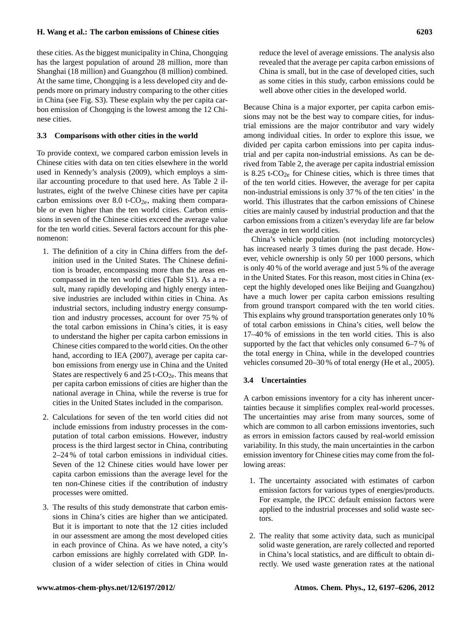# **H. Wang et al.: The carbon emissions of Chinese cities 6203**

these cities. As the biggest municipality in China, Chongqing has the largest population of around 28 million, more than Shanghai (18 million) and Guangzhou (8 million) combined. At the same time, Chongqing is a less developed city and depends more on primary industry comparing to the other cities in China (see Fig. S3). These explain why the per capita carbon emission of Chongqing is the lowest among the 12 Chinese cities.

#### **3.3 Comparisons with other cities in the world**

To provide context, we compared carbon emission levels in Chinese cities with data on ten cities elsewhere in the world used in Kennedy's analysis (2009), which employs a similar accounting procedure to that used here. As Table 2 illustrates, eight of the twelve Chinese cities have per capita carbon emissions over 8.0 t- $CO<sub>2e</sub>$ , making them comparable or even higher than the ten world cities. Carbon emissions in seven of the Chinese cities exceed the average value for the ten world cities. Several factors account for this phenomenon:

- 1. The definition of a city in China differs from the definition used in the United States. The Chinese definition is broader, encompassing more than the areas encompassed in the ten world cities (Table S1). As a result, many rapidly developing and highly energy intensive industries are included within cities in China. As industrial sectors, including industry energy consumption and industry processes, account for over 75 % of the total carbon emissions in China's cities, it is easy to understand the higher per capita carbon emissions in Chinese cities compared to the world cities. On the other hand, according to IEA (2007), average per capita carbon emissions from energy use in China and the United States are respectively 6 and 25 t- $CO<sub>2e</sub>$ . This means that per capita carbon emissions of cities are higher than the national average in China, while the reverse is true for cities in the United States included in the comparison.
- 2. Calculations for seven of the ten world cities did not include emissions from industry processes in the computation of total carbon emissions. However, industry process is the third largest sector in China, contributing 2–24 % of total carbon emissions in individual cities. Seven of the 12 Chinese cities would have lower per capita carbon emissions than the average level for the ten non-Chinese cities if the contribution of industry processes were omitted.
- 3. The results of this study demonstrate that carbon emissions in China's cities are higher than we anticipated. But it is important to note that the 12 cities included in our assessment are among the most developed cities in each province of China. As we have noted, a city's carbon emissions are highly correlated with GDP. Inclusion of a wider selection of cities in China would

reduce the level of average emissions. The analysis also revealed that the average per capita carbon emissions of China is small, but in the case of developed cities, such as some cities in this study, carbon emissions could be well above other cities in the developed world.

Because China is a major exporter, per capita carbon emissions may not be the best way to compare cities, for industrial emissions are the major contributor and vary widely among individual cities. In order to explore this issue, we divided per capita carbon emissions into per capita industrial and per capita non-industrial emissions. As can be derived from Table 2, the average per capita industrial emission is 8.25 t- $CO<sub>2e</sub>$  for Chinese cities, which is three times that of the ten world cities. However, the average for per capita non-industrial emissions is only 37 % of the ten cities' in the world. This illustrates that the carbon emissions of Chinese cities are mainly caused by industrial production and that the carbon emissions from a citizen's everyday life are far below the average in ten world cities.

China's vehicle population (not including motorcycles) has increased nearly 3 times during the past decade. However, vehicle ownership is only 50 per 1000 persons, which is only 40 % of the world average and just 5 % of the average in the United States. For this reason, most cities in China (except the highly developed ones like Beijing and Guangzhou) have a much lower per capita carbon emissions resulting from ground transport compared with the ten world cities. This explains why ground transportation generates only 10 % of total carbon emissions in China's cities, well below the 17–40 % of emissions in the ten world cities. This is also supported by the fact that vehicles only consumed 6–7 % of the total energy in China, while in the developed countries vehicles consumed 20–30 % of total energy (He et al., 2005).

#### **3.4 Uncertainties**

A carbon emissions inventory for a city has inherent uncertainties because it simplifies complex real-world processes. The uncertainties may arise from many sources, some of which are common to all carbon emissions inventories, such as errors in emission factors caused by real-world emission variability. In this study, the main uncertainties in the carbon emission inventory for Chinese cities may come from the following areas:

- 1. The uncertainty associated with estimates of carbon emission factors for various types of energies/products. For example, the IPCC default emission factors were applied to the industrial processes and solid waste sectors.
- 2. The reality that some activity data, such as municipal solid waste generation, are rarely collected and reported in China's local statistics, and are difficult to obtain directly. We used waste generation rates at the national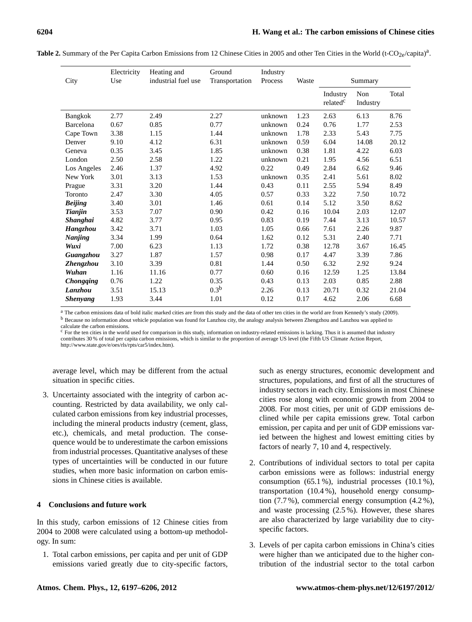| City             | Electricity<br>Use | Heating and<br>industrial fuel use | Ground<br>Transportation | Industry<br>Process | Waste | Summary                          |                 |       |
|------------------|--------------------|------------------------------------|--------------------------|---------------------|-------|----------------------------------|-----------------|-------|
|                  |                    |                                    |                          |                     |       | Industry<br>related <sup>c</sup> | Non<br>Industry | Total |
| Bangkok          | 2.77               | 2.49                               | 2.27                     | unknown             | 1.23  | 2.63                             | 6.13            | 8.76  |
| Barcelona        | 0.67               | 0.85                               | 0.77                     | unknown             | 0.24  | 0.76                             | 1.77            | 2.53  |
| Cape Town        | 3.38               | 1.15                               | 1.44                     | unknown             | 1.78  | 2.33                             | 5.43            | 7.75  |
| Denver           | 9.10               | 4.12                               | 6.31                     | unknown             | 0.59  | 6.04                             | 14.08           | 20.12 |
| Geneva           | 0.35               | 3.45                               | 1.85                     | unknown             | 0.38  | 1.81                             | 4.22            | 6.03  |
| London           | 2.50               | 2.58                               | 1.22                     | unknown             | 0.21  | 1.95                             | 4.56            | 6.51  |
| Los Angeles      | 2.46               | 1.37                               | 4.92                     | 0.22                | 0.49  | 2.84                             | 6.62            | 9.46  |
| New York         | 3.01               | 3.13                               | 1.53                     | unknown             | 0.35  | 2.41                             | 5.61            | 8.02  |
| Prague           | 3.31               | 3.20                               | 1.44                     | 0.43                | 0.11  | 2.55                             | 5.94            | 8.49  |
| Toronto          | 2.47               | 3.30                               | 4.05                     | 0.57                | 0.33  | 3.22                             | 7.50            | 10.72 |
| <b>Beijing</b>   | 3.40               | 3.01                               | 1.46                     | 0.61                | 0.14  | 5.12                             | 3.50            | 8.62  |
| Tianjin          | 3.53               | 7.07                               | 0.90                     | 0.42                | 0.16  | 10.04                            | 2.03            | 12.07 |
| Shanghai         | 4.82               | 3.77                               | 0.95                     | 0.83                | 0.19  | 7.44                             | 3.13            | 10.57 |
| Hangzhou         | 3.42               | 3.71                               | 1.03                     | 1.05                | 0.66  | 7.61                             | 2.26            | 9.87  |
| <b>Nanjing</b>   | 3.34               | 1.99                               | 0.64                     | 1.62                | 0.12  | 5.31                             | 2.40            | 7.71  |
| Wuxi             | 7.00               | 6.23                               | 1.13                     | 1.72                | 0.38  | 12.78                            | 3.67            | 16.45 |
| Guangzhou        | 3.27               | 1.87                               | 1.57                     | 0.98                | 0.17  | 4.47                             | 3.39            | 7.86  |
| Zhengzhou        | 3.10               | 3.39                               | 0.81                     | 1.44                | 0.50  | 6.32                             | 2.92            | 9.24  |
| Wuhan            | 1.16               | 11.16                              | 0.77                     | 0.60                | 0.16  | 12.59                            | 1.25            | 13.84 |
| <b>Chongqing</b> | 0.76               | 1.22                               | 0.35                     | 0.43                | 0.13  | 2.03                             | 0.85            | 2.88  |
| <b>Lanzhou</b>   | 3.51               | 15.13                              | 0.3 <sup>b</sup>         | 2.26                | 0.13  | 20.71                            | 0.32            | 21.04 |
| <b>Shenyang</b>  | 1.93               | 3.44                               | 1.01                     | 0.12                | 0.17  | 4.62                             | 2.06            | 6.68  |

Table 2. Summary of the Per Capita Carbon Emissions from 12 Chinese Cities in 2005 and other Ten Cities in the World (t-CO<sub>2e</sub>/capita)<sup>a</sup>.

<sup>a</sup> The carbon emissions data of bold italic marked cities are from this study and the data of other ten cities in the world are from Kennedy's study (2009). <sup>b</sup> Because no information about vehicle population was found for Lanzhou city, the analogy analysis between Zhengzhou and Lanzhou was applied to calculate the carbon emissions.

<sup>c</sup> For the ten cities in the world used for comparison in this study, information on industry-related emissions is lacking. Thus it is assumed that industry contributes 30 % of total per capita carbon emissions, which is similar to the proportion of average US level (the Fifth US Climate Action Report, [http://www.state.gov/e/oes/rls/rpts/car5/index.htm\)](http://www.state.gov/e/oes/rls/rpts/car5/index.htm).

average level, which may be different from the actual situation in specific cities.

3. Uncertainty associated with the integrity of carbon accounting. Restricted by data availability, we only calculated carbon emissions from key industrial processes, including the mineral products industry (cement, glass, etc.), chemicals, and metal production. The consequence would be to underestimate the carbon emissions from industrial processes. Quantitative analyses of these types of uncertainties will be conducted in our future studies, when more basic information on carbon emissions in Chinese cities is available.

# **4 Conclusions and future work**

In this study, carbon emissions of 12 Chinese cities from 2004 to 2008 were calculated using a bottom-up methodology. In sum:

1. Total carbon emissions, per capita and per unit of GDP emissions varied greatly due to city-specific factors,

such as energy structures, economic development and structures, populations, and first of all the structures of industry sectors in each city. Emissions in most Chinese cities rose along with economic growth from 2004 to 2008. For most cities, per unit of GDP emissions declined while per capita emissions grew. Total carbon emission, per capita and per unit of GDP emissions varied between the highest and lowest emitting cities by factors of nearly 7, 10 and 4, respectively.

- 2. Contributions of individual sectors to total per capita carbon emissions were as follows: industrial energy consumption (65.1 %), industrial processes (10.1 %), transportation (10.4 %), household energy consumption (7.7 %), commercial energy consumption (4.2 %), and waste processing (2.5 %). However, these shares are also characterized by large variability due to cityspecific factors.
- 3. Levels of per capita carbon emissions in China's cities were higher than we anticipated due to the higher contribution of the industrial sector to the total carbon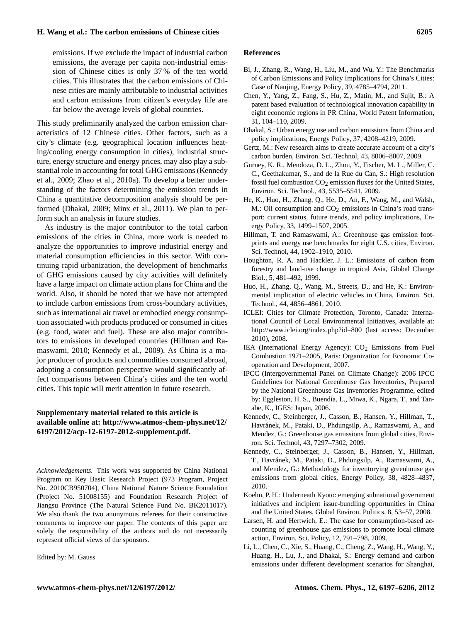emissions. If we exclude the impact of industrial carbon emissions, the average per capita non-industrial emission of Chinese cities is only 37 % of the ten world cities. This illustrates that the carbon emissions of Chinese cities are mainly attributable to industrial activities and carbon emissions from citizen's everyday life are far below the average levels of global countries.

This study preliminarily analyzed the carbon emission characteristics of 12 Chinese cities. Other factors, such as a city's climate (e.g. geographical location influences heating/cooling energy consumption in cities), industrial structure, energy structure and energy prices, may also play a substantial role in accounting for total GHG emissions (Kennedy et al., 2009; Zhao et al., 2010a). To develop a better understanding of the factors determining the emission trends in China a quantitative decomposition analysis should be performed (Dhakal, 2009; Minx et al., 2011). We plan to perform such an analysis in future studies.

As industry is the major contributor to the total carbon emissions of the cities in China, more work is needed to analyze the opportunities to improve industrial energy and material consumption efficiencies in this sector. With continuing rapid urbanization, the development of benchmarks of GHG emissions caused by city activities will definitely have a large impact on climate action plans for China and the world. Also, it should be noted that we have not attempted to include carbon emissions from cross-boundary activities, such as international air travel or embodied energy consumption associated with products produced or consumed in cities (e.g. food, water and fuel). These are also major contributors to emissions in developed countries (Hillman and Ramaswami, 2010; Kennedy et al., 2009). As China is a major producer of products and commodities consumed abroad, adopting a consumption perspective would significantly affect comparisons between China's cities and the ten world cities. This topic will merit attention in future research.

# **Supplementary material related to this article is available online at: [http://www.atmos-chem-phys.net/12/](http://www.atmos-chem-phys.net/12/6197/2012/acp-12-6197-2012-supplement.pdf) [6197/2012/acp-12-6197-2012-supplement.pdf.](http://www.atmos-chem-phys.net/12/6197/2012/acp-12-6197-2012-supplement.pdf)**

*Acknowledgements.* This work was supported by China National Program on Key Basic Research Project (973 Program, Project No. 2010CB950704), China National Nature Science Foundation (Project No. 51008155) and Foundation Research Project of Jiangsu Province (The Natural Science Fund No. BK2011017). We also thank the two anonymous referees for their constructive comments to improve our paper. The contents of this paper are solely the responsibility of the authors and do not necessarily represent official views of the sponsors.

Edited by: M. Gauss

#### **References**

- Bi, J., Zhang, R., Wang, H., Liu, M., and Wu, Y.: The Benchmarks of Carbon Emissions and Policy Implications for China's Cities: Case of Nanjing, Energy Policy, 39, 4785–4794, 2011.
- Chen, Y., Yang, Z., Fang, S., Hu, Z., Matin, M., and Sujit, B.: A patent based evaluation of technological innovation capability in eight economic regions in PR China, World Patent Information, 31, 104–110, 2009.
- Dhakal, S.: Urban energy use and carbon emissions from China and policy implications, Energy Policy, 37, 4208–4219, 2009.
- Gertz, M.: New research aims to create accurate account of a city's carbon burden, Environ. Sci. Technol, 43, 8006–8007, 2009.
- Gurney, K. R., Mendoza, D. L., Zhou, Y., Fischer, M. L., Miller, C. C., Geethakumar, S., and de la Rue du Can, S.: High resolution fossil fuel combustion  $CO<sub>2</sub>$  emission fluxes for the United States, Environ. Sci. Technol., 43, 5535–5541, 2009.
- He, K., Huo, H., Zhang, Q., He, D., An, F., Wang, M., and Walsh, M.: Oil consumption and  $CO<sub>2</sub>$  emissions in China's road transport: current status, future trends, and policy implications, Energy Policy, 33, 1499–1507, 2005.
- Hillman, T. and Ramaswami, A.: Greenhouse gas emission footprints and energy use benchmarks for eight U.S. cities, Environ. Sci. Technol, 44, 1902–1910, 2010.
- Houghton, R. A. and Hackler, J. L.: Emissions of carbon from forestry and land-use change in tropical Asia, Global Change Biol., 5, 481–492, 1999.
- Huo, H., Zhang, Q., Wang, M., Streets, D., and He, K.: Environmental implication of electric vehicles in China, Environ. Sci. Technol., 44, 4856–4861, 2010.
- ICLEI: Cities for Climate Protection, Toronto, Canada: International Council of Local Environmental Initiatives, available at: <http://www.iclei.org/index.php?id=800> (last access: December 2010), 2008.
- IEA (International Energy Agency):  $CO<sub>2</sub>$  Emissions from Fuel Combustion 1971–2005, Paris: Organization for Economic Cooperation and Development, 2007.
- IPCC (Intergovernmental Panel on Climate Change): 2006 IPCC Guidelines for National Greenhouse Gas Inventories, Prepared by the National Greenhouse Gas Inventories Programme, edited by: Eggleston, H. S., Buendia, L., Miwa, K., Ngara, T., and Tanabe, K., IGES: Japan, 2006.
- Kennedy, C., Steinberger, J., Casson, B., Hansen, Y., Hillman, T., Havránek, M., Pataki, D., Phdungsilp, A., Ramaswami, A., and Mendez, G.: Greenhouse gas emissions from global cities, Environ. Sci. Technol, 43, 7297–7302, 2009.
- Kennedy, C., Steinberger, J., Casson, B., Hansen, Y., Hillman, T., Havránek, M., Pataki, D., Phdungsilp, A., Ramaswami, A., and Mendez, G.: Methodology for inventorying greenhouse gas emissions from global cities, Energy Policy, 38, 4828–4837, 2010.
- Koehn, P. H.: Underneath Kyoto: emerging subnational government initiatives and incipient issue-bundling opportunities in China and the United States, Global Environ. Politics, 8, 53–57, 2008.
- Larsen, H. and Hertwich, E.: The case for consumption-based accounting of greenhouse gas emissions to promote local climate action, Environ. Sci. Policy, 12, 791–798, 2009.
- Li, L., Chen, C., Xie, S., Huang, C., Cheng, Z., Wang, H., Wang, Y., Huang, H., Lu, J., and Dhakal, S.: Energy demand and carbon emissions under different development scenarios for Shanghai,